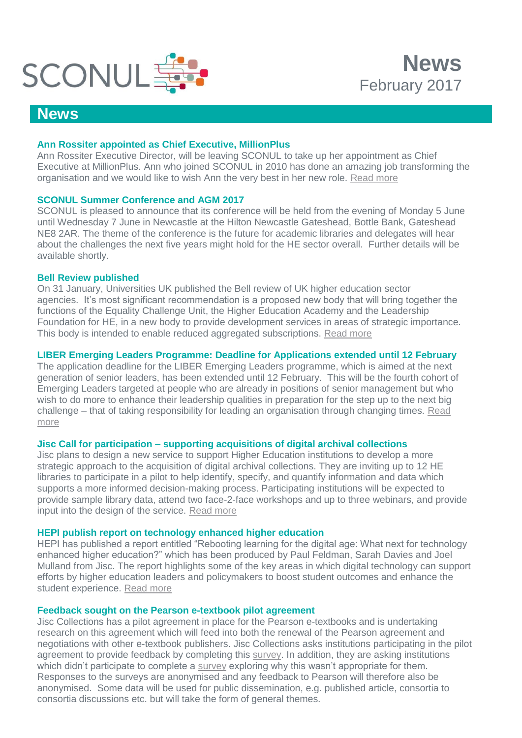

## **News**

### **Ann Rossiter appointed as Chief Executive, MillionPlus**

Ann Rossiter Executive Director, will be leaving SCONUL to take up her appointment as Chief Executive at MillionPlus. Ann who joined SCONUL in 2010 has done an amazing job transforming the organisation and we would like to wish Ann the very best in her new role. [Read more](http://www.millionplus.ac.uk/news/press-releases/millionplus-appoints-ann-rossiter-as-chief-executive)

## **SCONUL Summer Conference and AGM 2017**

SCONUL is pleased to announce that its conference will be held from the evening of Monday 5 June until Wednesday 7 June in Newcastle at the Hilton Newcastle Gateshead, Bottle Bank, Gateshead NE8 2AR. The theme of the conference is the future for academic libraries and delegates will hear about the challenges the next five years might hold for the HE sector overall. Further details will be available shortly.

### **Bell Review published**

On 31 January, Universities UK published the Bell review of UK higher education sector agencies. It's most significant recommendation is a proposed new body that will bring together the functions of the Equality Challenge Unit, the Higher Education Academy and the Leadership Foundation for HE, in a new body to provide development services in areas of strategic importance. This body is intended to enable reduced aggregated subscriptions. [Read more](https://www.sconul.ac.uk/news/review-group-on-uk-higher-education-sector-agencies)

## **LIBER Emerging Leaders Programme: Deadline for Applications extended until 12 February**

The application deadline for the LIBER Emerging Leaders programme, which is aimed at the next generation of senior leaders, has been extended until 12 February. This will be the fourth cohort of Emerging Leaders targeted at people who are already in positions of senior management but who wish to do more to enhance their leadership qualities in preparation for the step up to the next big challenge – that of taking responsibility for leading an organisation through changing times. [Read](http://libereurope.eu/emergingleaders)  [more](http://libereurope.eu/emergingleaders)

### **Jisc Call for participation – supporting acquisitions of digital archival collections**

Jisc plans to design a new service to support Higher Education institutions to develop a more strategic approach to the acquisition of digital archival collections. They are inviting up to 12 HE libraries to participate in a pilot to help identify, specify, and quantify information and data which supports a more informed decision-making process. Participating institutions will be expected to provide sample library data, attend two face-2-face workshops and up to three webinars, and provide input into the design of the service. [Read more](https://goo.gl/bCLYEf)

### **HEPI publish report on technology enhanced higher education**

HEPI has published a report entitled "Rebooting learning for the digital age: What next for technology enhanced higher education?" which has been produced by Paul Feldman, Sarah Davies and Joel Mulland from Jisc. The report highlights some of the key areas in which digital technology can support efforts by higher education leaders and policymakers to boost student outcomes and enhance the student experience. [Read more](http://www.hepi.ac.uk/2017/02/02/rebooting-learning-digital-age-next-technology-enhanced-higher-education/)

## **Feedback sought on the Pearson e-textbook pilot agreement**

Jisc Collections has a pilot agreement in place for the Pearson e-textbooks and is undertaking research on this agreement which will feed into both the renewal of the Pearson agreement and negotiations with other e-textbook publishers. Jisc Collections asks institutions participating in the pilot agreement to provide feedback by completing this [survey.](https://www.surveymonkey.co.uk/r/JTNKD6M) In addition, they are asking institutions which didn't participate to complete a [survey](https://www.surveymonkey.co.uk/r/JTNKD6M) exploring why this wasn't appropriate for them. Responses to the surveys are anonymised and any feedback to Pearson will therefore also be anonymised. Some data will be used for public dissemination, e.g. published article, consortia to consortia discussions etc. but will take the form of general themes.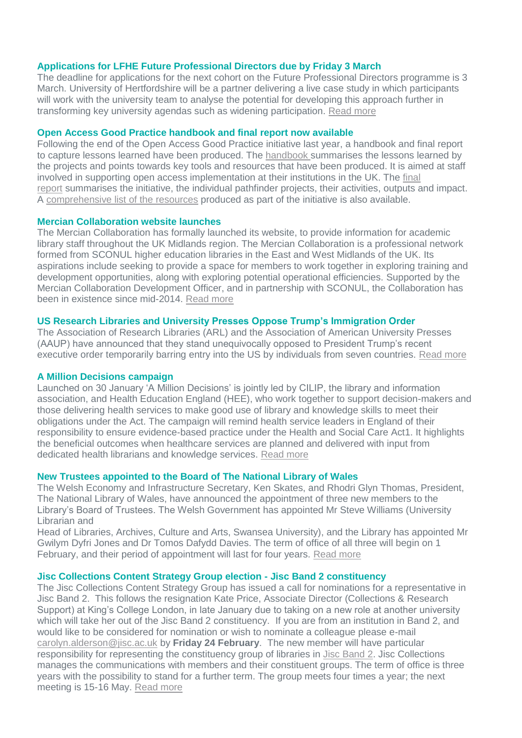#### **Applications for LFHE Future Professional Directors due by Friday 3 March**

The deadline for applications for the next cohort on the Future Professional Directors programme is 3 March. University of Hertfordshire will be a partner delivering a live case study in which participants will work with the university team to analyse the potential for developing this approach further in transforming key university agendas such as widening participation. [Read more](https://www.lfhe.ac.uk/en/news/index.cfm/FPD2livecasestudy)

#### **Open Access Good Practice handbook and final report now available**

Following the end of the Open Access Good Practice initiative last year, a handbook and final report to capture lessons learned have been produced. The [handbook](http://repository.jisc.ac.uk/6565/1/JISC_OAGP_OUTPUTS_HANDBOOK_FINAL.PDF) summarises the lessons learned by the projects and points towards key tools and resources that have been produced. It is aimed at staff involved in supporting open access implementation at their institutions in the UK. The [final](http://repository.jisc.ac.uk/6566/1/JISC_OAGP_OUTPUTS_REPORT_FINAL.pdf)  [report](http://repository.jisc.ac.uk/6566/1/JISC_OAGP_OUTPUTS_REPORT_FINAL.pdf) summarises the initiative, the individual pathfinder projects, their activities, outputs and impact. A [comprehensive list of the resources](https://www.jisc.ac.uk/rd/projects/open-access-good-practice#outputs) produced as part of the initiative is also available.

#### **Mercian Collaboration website launches**

The Mercian Collaboration has formally launched its website, to provide information for academic library staff throughout the UK Midlands region. The Mercian Collaboration is a professional network formed from SCONUL higher education libraries in the East and West Midlands of the UK. Its aspirations include seeking to provide a space for members to work together in exploring training and development opportunities, along with exploring potential operational efficiencies. Supported by the Mercian Collaboration Development Officer, and in partnership with SCONUL, the Collaboration has been in existence since mid-2014. [Read more](https://merciancollaboration.org.uk/mercian-website-launches)

### **US Research Libraries and University Presses Oppose Trump's Immigration Order**

The Association of Research Libraries (ARL) and the Association of American University Presses (AAUP) have announced that they stand unequivocally opposed to President Trump's recent executive order temporarily barring entry into the US by individuals from seven countries. [Read more](http://www.arl.org/news/arl-news/4204-research-libraries-university-presses-oppose-trumps-immigration-order)

#### **A Million Decisions campaign**

Launched on 30 January 'A Million Decisions' is jointly led by CILIP, the library and information association, and Health Education England (HEE), who work together to support decision-makers and those delivering health services to make good use of library and knowledge skills to meet their obligations under the Act. The campaign will remind health service leaders in England of their responsibility to ensure evidence-based practice under the Health and Social Care Act1. It highlights the beneficial outcomes when healthcare services are planned and delivered with input from dedicated health librarians and knowledge services. [Read more](http://www.cilip.org.uk/news/million-decisions-campaign-bring-evidence-healthcare-clinicians-commissioners)

#### **New Trustees appointed to the Board of The National Library of Wales**

The Welsh Economy and Infrastructure Secretary, Ken Skates, and Rhodri Glyn Thomas, President, The National Library of Wales, have announced the appointment of three new members to the Library's Board of Trustees. The Welsh Government has appointed Mr Steve Williams (University Librarian and

Head of Libraries, Archives, Culture and Arts, Swansea University), and the Library has appointed Mr Gwilym Dyfri Jones and Dr Tomos Dafydd Davies. The term of office of all three will begin on 1 February, and their period of appointment will last for four years. [Read more](https://www.llgc.org.uk/en/information-for/press-and-media/press-releases/2017-press-releases/new-trustees-appointed-to-the-board-of-the-national-library-of-wales/)

#### **Jisc Collections Content Strategy Group election - Jisc Band 2 constituency**

The Jisc Collections Content Strategy Group has issued a call for nominations for a representative in Jisc Band 2. This follows the resignation Kate Price, Associate Director (Collections & Research Support) at King's College London, in late January due to taking on a new role at another university which will take her out of the Jisc Band 2 constituency. If you are from an institution in Band 2, and would like to be considered for nomination or wish to nominate a colleague please e-mail [carolyn.alderson@jisc.ac.uk](mailto:carolyn.alderson@jisc.ac.uk) by **Friday 24 February**. The new member will have particular responsibility for representing the constituency group of libraries in [Jisc Band 2.](https://www.jisc-collections.ac.uk/Help-and-information/JISC-Banding/New-JISC-Bands-for-HE-HEIs-listed-by-band-1-10/) Jisc Collections manages the communications with members and their constituent groups. The term of office is three years with the possibility to stand for a further term. The group meets four times a year; the next meeting is 15-16 May. [Read more](http://www.jisc-collections.ac.uk/About-JISC-Collections/JCCSG/)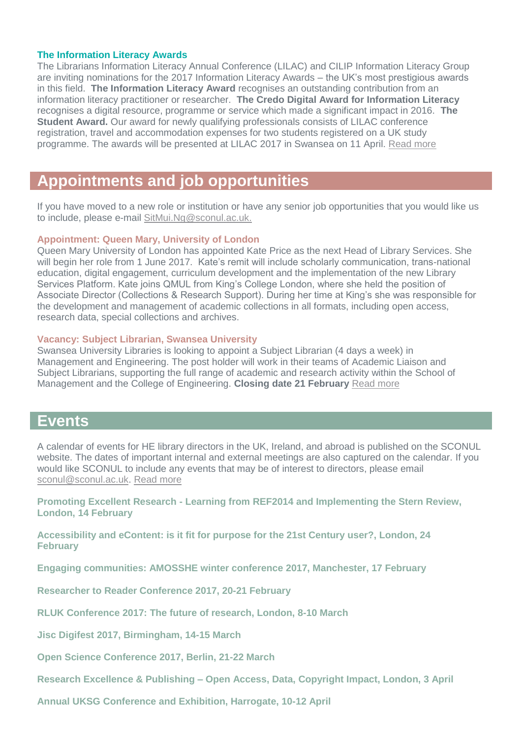### **The Information Literacy Awards**

The Librarians Information Literacy Annual Conference (LILAC) and CILIP Information Literacy Group are inviting nominations for the 2017 Information Literacy Awards – the UK's most prestigious awards in this field. **The Information Literacy Award** recognises an outstanding contribution from an information literacy practitioner or researcher. **The Credo Digital Award for Information Literacy** recognises a digital resource, programme or service which made a significant impact in 2016. **The Student Award.** Our award for newly qualifying professionals consists of LILAC conference registration, travel and accommodation expenses for two students registered on a UK study programme. The awards will be presented at LILAC 2017 in Swansea on 11 April. [Read more](http://www.lilacconference.com/lilac-2017/awards)

# **Appointments and job opportunities**

If you have moved to a new role or institution or have any senior job opportunities that you would like us to include, please e-mail [SitMui.Ng@sconul.ac.uk.](mailto:SitMui.Ng@sconul.ac.uk)

#### **Appointment: Queen Mary, University of London**

Queen Mary University of London has appointed Kate Price as the next Head of Library Services. She will begin her role from 1 June 2017. Kate's remit will include scholarly communication, trans-national education, digital engagement, curriculum development and the implementation of the new Library Services Platform. Kate joins QMUL from King's College London, where she held the position of Associate Director (Collections & Research Support). During her time at King's she was responsible for the development and management of academic collections in all formats, including open access, research data, special collections and archives.

#### **Vacancy: Subject Librarian, Swansea University**

Swansea University Libraries is looking to appoint a Subject Librarian (4 days a week) in Management and Engineering. The post holder will work in their teams of Academic Liaison and Subject Librarians, supporting the full range of academic and research activity within the School of Management and the College of Engineering. **Closing date 21 February** [Read more](http://www.swansea.ac.uk/personnel/jobs/details.php?nPostingId=4251&nPostingTargetId=7164&id=QHUFK026203F3VBQB7VLO8NXD&LG=UK&mask=suext)

## **Events**

A calendar of events for HE library directors in the UK, Ireland, and abroad is published on the SCONUL website. The dates of important internal and external meetings are also captured on the calendar. If you would like SCONUL to include any events that may be of interest to directors, please email [sconul@sconul.ac.uk.](mailto:sconul@sconul.ac.uk) [Read more](http://www.sconul.ac.uk/page/events-calendar-0)

**Promoting Excellent Research - [Learning from REF2014 and Implementing the Stern Review,](http://www.policy-uk.com/event/2383/437608)  [London, 14 February](http://www.policy-uk.com/event/2383/437608)**

**[Accessibility and eContent: is it fit for purpose for the 21st Century user?, London, 24](http://www.sherif.ac.uk/events.html)  [February](http://www.sherif.ac.uk/events.html)**

**[Engaging communities: AMOSSHE winter conference 2017, Manchester, 17 February](http://www.amosshe.org.uk/event-2362441)** 

**[Researcher to Reader Conference 2017, 20-21 February](https://r2rconf.com/call-for-papers/)** 

**[RLUK Conference 2017: The future of research, London, 8-10 March](http://rlukconference.com/)** 

**[Jisc Digifest 2017, Birmingham, 14-15 March](https://www.jisc.ac.uk/events/digifest-14-mar-2017)** 

**[Open Science Conference 2017, Berlin, 21-22 March](http://www.open-science-conference.eu/)**

**Research Excellence & Publishing – [Open Access, Data, Copyright Impact, London, 3 April](http://www.ncup.org.uk/research-excellence-and-publishing-seminar-to-be-held-at-kings-college-london-in-april-2017/)**

**[Annual UKSG Conference and Exhibition, Harrogate, 10-12 April](http://www.uksg.org/event/uksg-cfp-2017)**